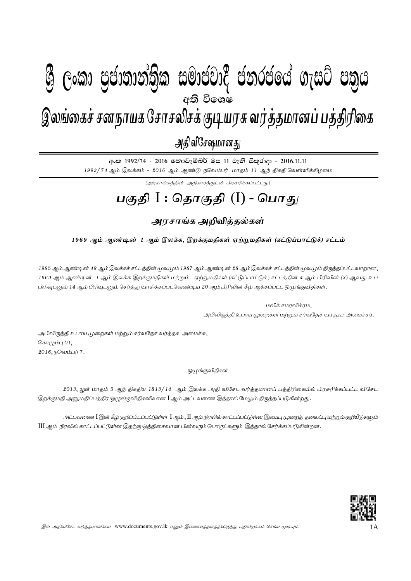## $\mathbf{A} \mathbf{A} = \mathbf{A} \mathbf{A} \mathbf{A} + \mathbf{A} \mathbf{A} \mathbf{A} + \mathbf{A} \mathbf{A} \mathbf{A}$  $g_{\text{max}}$  , nghamaga nghaphan nghang nga Kon $\alpha$ இலங்கைச் சனநாயக சோசலிசக் குடியரசு வர்த்தமானப் பத்திரிகை அதி விசேஷமானது  $\mathcal{B}$  George Constanting)ක සමාප්තාර ප්නාර්ථිකය ගැසුර ප්නිෆ අති වි**ශ**ේ

අංක 1992/74 - 2016 තොවැම්බර් මස 11 වැනි සිකුරාදා - 2016.11.11  $1992/74$  ஆம் இலக்கம் -  $2016$  ஆம் ஆண்டு நவெம்பர் மாதம்  $11$  ஆந் திகதி வெள்ளிக்கிழமை

 $(\mathcal{A}$ ரசாங்கத்தின் அதிகாரத்துடன் பிரசுரிக்கப்பட்டது)

# <u>பகுதி</u> I : தொகுதி (I) - பொது

### அரசாங்க அறிவித்தல்கள்

### 1969 ஆம் ஆண்டின் 1 ஆம் இலக்க, இறக்குமதிகள் ஏற்றுமதிகள் (கட்டுப்பாட்டுச்) சட்டம்

1985 ஆம் ஆண்டின் 48 ஆம் இலக்கச் சட்டத்தின் மூலமும் 1987 ஆம் ஆண்டின் 28 ஆம் இலக்கச் சட்டத்தின் மூலமும் திருத்தப்பட்டவாறான, 1969 ஆம் ஆண்டின் 1 ஆம் இலக்க இறக்குமதிகள் மற்றும் ஏற்றுமதிகள் (கட்டுப்பாட்டுச்) சட்டத்தின் 4 ஆம் பிரிவின் (3) ஆவது உப பிரிவுடனும் 14 ஆம் பிரிவுடனும் சேர்த்து வாசிக்கப்படவேண்டிய 20 ஆம் பிரிவின் கீழ் ஆக்கப்பட்ட ஒழுங்குவிதிகள்.

> மலிக் சமரவிக்ரம, அபிவிருத்தி உபாய முறைகள் மற்றும் சர்வதேச வர்த்தக அமைச்சர்.

அபிவிருத்தி உபாய முறைகள் மற்றும் சர்வதேச வர்த்தக அமைச்சு, கொழும்பு $01$ ,  $2016,$  நவெம்பர்  $7.$ 

#### <u>ஒ</u>ழுங்குவிதிகள்

2013, யுன் மாதம் 5 ஆந் திகதிய 1813/14 ஆம் இலக்க அதி விசேட வர்த்தமானப் பத்திரிகையில் பிரசுரிக்கப்பட்ட விசேட இறக்குமதி அனுமதிப்பத்திர ஒழுங்குவிதிகளிலான **I** ஆம் அட்டவணை இத்தால் மேலும் திருத்தப்படுகின்றது.

அட்டவணை  $I$ இன் கீழ் குறிப்பிடப்பட்டுள்ள  $\,I$ ஆம் , $\,II$ ஆம் நிரலில் காட்டப்பட்டுள்ள இயைபு முறைத் தலைப்பு மற்றும் குறியீடுகளும்  $\rm III$  ஆம் நிரலில் காட்டப்பட்டுள்ள இதற்கு ஒத்திசைவான பின்வரும் பொருட்களும் இத்தால் சேர்க்கப்படுகின்றன.



இவ் அதிவிசேட வர்த்தமானியை www.documents.gov.lk எனும் இணையத்தளத்திலிருந்து பதிவிறக்கம் செய்ய முடியும்.